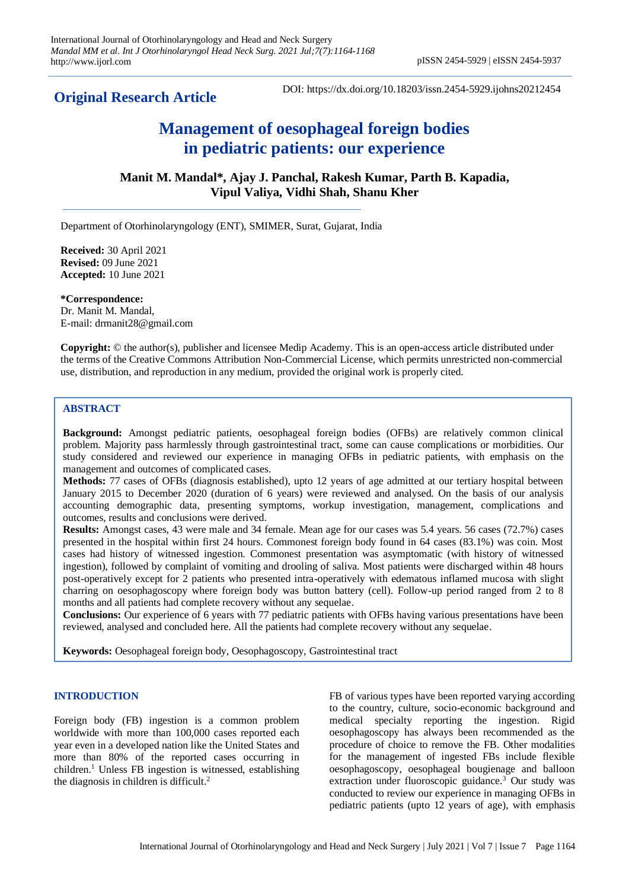## **Original Research Article**

DOI: https://dx.doi.org/10.18203/issn.2454-5929.ijohns20212454

# **Management of oesophageal foreign bodies in pediatric patients: our experience**

**Manit M. Mandal\*, Ajay J. Panchal, Rakesh Kumar, Parth B. Kapadia, Vipul Valiya, Vidhi Shah, Shanu Kher**

Department of Otorhinolaryngology (ENT), SMIMER, Surat, Gujarat, India

**Received:** 30 April 2021 **Revised:** 09 June 2021 **Accepted:** 10 June 2021

**\*Correspondence:** Dr. Manit M. Mandal, E-mail: drmanit28@gmail.com

**Copyright:** © the author(s), publisher and licensee Medip Academy. This is an open-access article distributed under the terms of the Creative Commons Attribution Non-Commercial License, which permits unrestricted non-commercial use, distribution, and reproduction in any medium, provided the original work is properly cited.

### **ABSTRACT**

**Background:** Amongst pediatric patients, oesophageal foreign bodies (OFBs) are relatively common clinical problem. Majority pass harmlessly through gastrointestinal tract, some can cause complications or morbidities. Our study considered and reviewed our experience in managing OFBs in pediatric patients, with emphasis on the management and outcomes of complicated cases.

**Methods:** 77 cases of OFBs (diagnosis established), upto 12 years of age admitted at our tertiary hospital between January 2015 to December 2020 (duration of 6 years) were reviewed and analysed. On the basis of our analysis accounting demographic data, presenting symptoms, workup investigation, management, complications and outcomes, results and conclusions were derived.

**Results:** Amongst cases, 43 were male and 34 female. Mean age for our cases was 5.4 years. 56 cases (72.7%) cases presented in the hospital within first 24 hours. Commonest foreign body found in 64 cases (83.1%) was coin. Most cases had history of witnessed ingestion. Commonest presentation was asymptomatic (with history of witnessed ingestion), followed by complaint of vomiting and drooling of saliva. Most patients were discharged within 48 hours post-operatively except for 2 patients who presented intra-operatively with edematous inflamed mucosa with slight charring on oesophagoscopy where foreign body was button battery (cell). Follow-up period ranged from 2 to 8 months and all patients had complete recovery without any sequelae.

**Conclusions:** Our experience of 6 years with 77 pediatric patients with OFBs having various presentations have been reviewed, analysed and concluded here. All the patients had complete recovery without any sequelae.

**Keywords:** Oesophageal foreign body, Oesophagoscopy, Gastrointestinal tract

#### **INTRODUCTION**

Foreign body (FB) ingestion is a common problem worldwide with more than 100,000 cases reported each year even in a developed nation like the United States and more than 80% of the reported cases occurring in children.<sup>1</sup> Unless FB ingestion is witnessed, establishing the diagnosis in children is difficult.<sup>2</sup>

FB of various types have been reported varying according to the country, culture, socio-economic background and medical specialty reporting the ingestion. Rigid oesophagoscopy has always been recommended as the procedure of choice to remove the FB. Other modalities for the management of ingested FBs include flexible oesophagoscopy, oesophageal bougienage and balloon extraction under fluoroscopic guidance.<sup>3</sup> Our study was conducted to review our experience in managing OFBs in pediatric patients (upto 12 years of age), with emphasis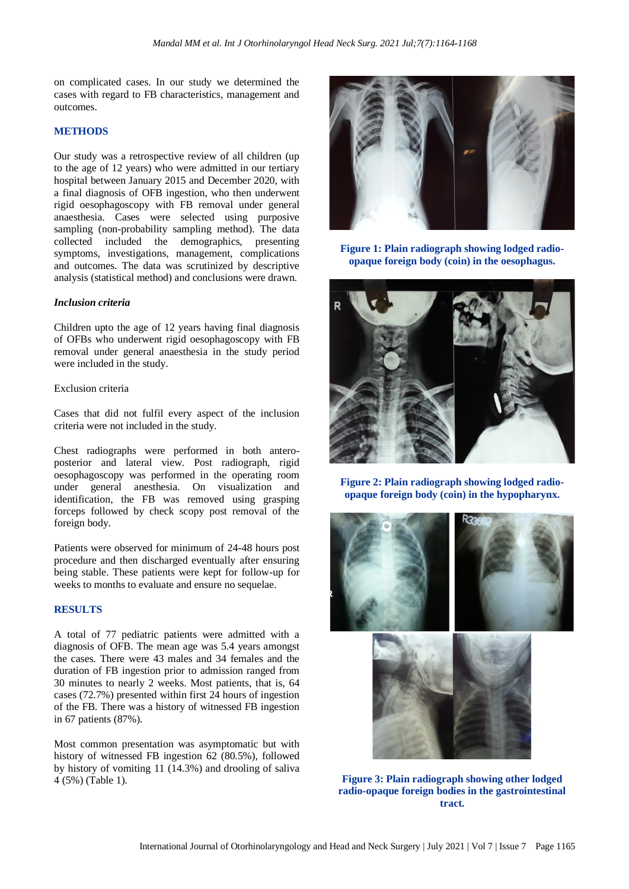on complicated cases. In our study we determined the cases with regard to FB characteristics, management and outcomes.

#### **METHODS**

Our study was a retrospective review of all children (up to the age of 12 years) who were admitted in our tertiary hospital between January 2015 and December 2020, with a final diagnosis of OFB ingestion, who then underwent rigid oesophagoscopy with FB removal under general anaesthesia. Cases were selected using purposive sampling (non-probability sampling method). The data collected included the demographics, presenting symptoms, investigations, management, complications and outcomes. The data was scrutinized by descriptive analysis (statistical method) and conclusions were drawn.

#### *Inclusion criteria*

Children upto the age of 12 years having final diagnosis of OFBs who underwent rigid oesophagoscopy with FB removal under general anaesthesia in the study period were included in the study.

#### Exclusion criteria

Cases that did not fulfil every aspect of the inclusion criteria were not included in the study.

Chest radiographs were performed in both anteroposterior and lateral view. Post radiograph, rigid oesophagoscopy was performed in the operating room under general anesthesia. On visualization and identification, the FB was removed using grasping forceps followed by check scopy post removal of the foreign body.

Patients were observed for minimum of 24-48 hours post procedure and then discharged eventually after ensuring being stable. These patients were kept for follow-up for weeks to months to evaluate and ensure no sequelae.

#### **RESULTS**

A total of 77 pediatric patients were admitted with a diagnosis of OFB. The mean age was 5.4 years amongst the cases. There were 43 males and 34 females and the duration of FB ingestion prior to admission ranged from 30 minutes to nearly 2 weeks. Most patients, that is, 64 cases (72.7%) presented within first 24 hours of ingestion of the FB. There was a history of witnessed FB ingestion in 67 patients (87%).

Most common presentation was asymptomatic but with history of witnessed FB ingestion 62 (80.5%), followed by history of vomiting 11 (14.3%) and drooling of saliva 4 (5%) (Table 1).



**Figure 1: Plain radiograph showing lodged radioopaque foreign body (coin) in the oesophagus.**



**Figure 2: Plain radiograph showing lodged radioopaque foreign body (coin) in the hypopharynx.**



**Figure 3: Plain radiograph showing other lodged radio-opaque foreign bodies in the gastrointestinal tract.**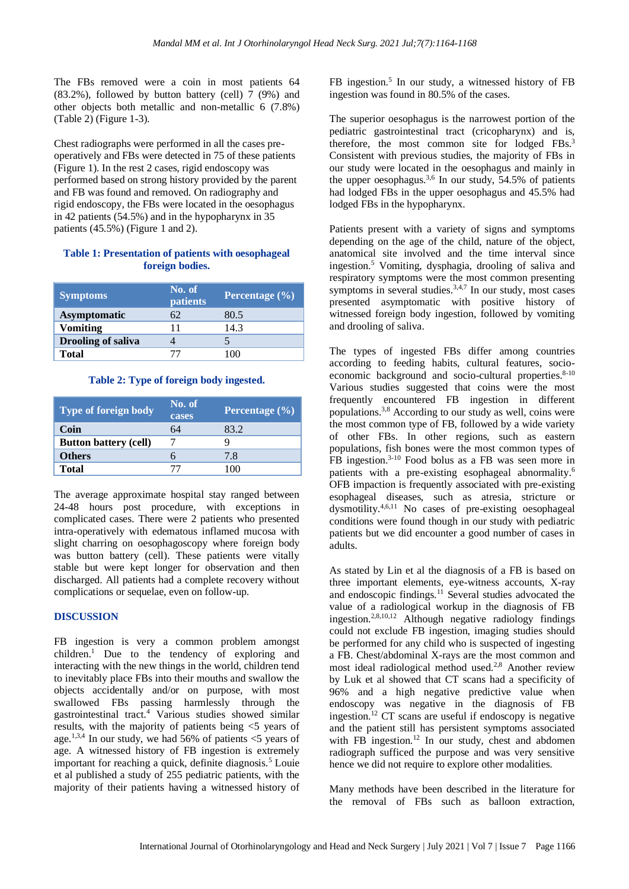The FBs removed were a coin in most patients 64 (83.2%), followed by button battery (cell) 7 (9%) and other objects both metallic and non-metallic 6 (7.8%) (Table 2) (Figure 1-3).

Chest radiographs were performed in all the cases preoperatively and FBs were detected in 75 of these patients (Figure 1). In the rest 2 cases, rigid endoscopy was performed based on strong history provided by the parent and FB was found and removed. On radiography and rigid endoscopy, the FBs were located in the oesophagus in 42 patients (54.5%) and in the hypopharynx in 35 patients (45.5%) (Figure 1 and 2).

#### **Table 1: Presentation of patients with oesophageal foreign bodies.**

| <b>Symptoms</b>           | No. of<br>patients | Percentage (%) |
|---------------------------|--------------------|----------------|
| <b>Asymptomatic</b>       | 62                 | 80.5           |
| <b>Vomiting</b>           | 11                 | 14.3           |
| <b>Drooling of saliva</b> |                    |                |
| <b>Total</b>              | 77                 | 100            |

#### **Table 2: Type of foreign body ingested.**

| Type of foreign body         | No. of<br>cases | Percentage $(\%)$ |
|------------------------------|-----------------|-------------------|
| Coin                         | 64              | 83.2              |
| <b>Button battery (cell)</b> |                 |                   |
| <b>Others</b>                |                 | 7.8               |
| <b>Total</b>                 |                 |                   |

The average approximate hospital stay ranged between 24-48 hours post procedure, with exceptions in complicated cases. There were 2 patients who presented intra-operatively with edematous inflamed mucosa with slight charring on oesophagoscopy where foreign body was button battery (cell). These patients were vitally stable but were kept longer for observation and then discharged. All patients had a complete recovery without complications or sequelae, even on follow-up.

#### **DISCUSSION**

FB ingestion is very a common problem amongst children.<sup>1</sup> Due to the tendency of exploring and interacting with the new things in the world, children tend to inevitably place FBs into their mouths and swallow the objects accidentally and/or on purpose, with most swallowed FBs passing harmlessly through the gastrointestinal tract.<sup>4</sup> Various studies showed similar results, with the majority of patients being <5 years of age.<sup>1,3,4</sup> In our study, we had 56% of patients  $\lt$ 5 years of age. A witnessed history of FB ingestion is extremely important for reaching a quick, definite diagnosis.<sup>5</sup> Louie et al published a study of 255 pediatric patients, with the majority of their patients having a witnessed history of

FB ingestion.<sup>5</sup> In our study, a witnessed history of FB ingestion was found in 80.5% of the cases.

The superior oesophagus is the narrowest portion of the pediatric gastrointestinal tract (cricopharynx) and is, therefore, the most common site for lodged FBs. 3 Consistent with previous studies, the majority of FBs in our study were located in the oesophagus and mainly in the upper oesophagus.<sup>3,6</sup> In our study, 54.5% of patients had lodged FBs in the upper oesophagus and 45.5% had lodged FBs in the hypopharynx.

Patients present with a variety of signs and symptoms depending on the age of the child, nature of the object, anatomical site involved and the time interval since ingestion.<sup>5</sup> Vomiting, dysphagia, drooling of saliva and respiratory symptoms were the most common presenting symptoms in several studies.<sup>3,4,7</sup> In our study, most cases presented asymptomatic with positive history of witnessed foreign body ingestion, followed by vomiting and drooling of saliva.

The types of ingested FBs differ among countries according to feeding habits, cultural features, socioeconomic background and socio-cultural properties.<sup>8-10</sup> Various studies suggested that coins were the most frequently encountered FB ingestion in different populations.3,8 According to our study as well, coins were the most common type of FB, followed by a wide variety of other FBs. In other regions, such as eastern populations, fish bones were the most common types of FB ingestion.3-10 Food bolus as a FB was seen more in patients with a pre-existing esophageal abnormality.<sup>6</sup> OFB impaction is frequently associated with pre-existing esophageal diseases, such as atresia, stricture or dysmotility.4,6,11 No cases of pre-existing oesophageal conditions were found though in our study with pediatric patients but we did encounter a good number of cases in adults.

As stated by Lin et al the diagnosis of a FB is based on three important elements, eye-witness accounts, X-ray and endoscopic findings.<sup>11</sup> Several studies advocated the value of a radiological workup in the diagnosis of FB ingestion.<sup>2,8,10,12</sup> Although negative radiology findings could not exclude FB ingestion, imaging studies should be performed for any child who is suspected of ingesting a FB. Chest/abdominal X-rays are the most common and most ideal radiological method used.2,8 Another review by Luk et al showed that CT scans had a specificity of 96% and a high negative predictive value when endoscopy was negative in the diagnosis of FB ingestion.<sup>12</sup> CT scans are useful if endoscopy is negative and the patient still has persistent symptoms associated with FB ingestion.<sup>12</sup> In our study, chest and abdomen radiograph sufficed the purpose and was very sensitive hence we did not require to explore other modalities.

Many methods have been described in the literature for the removal of FBs such as balloon extraction,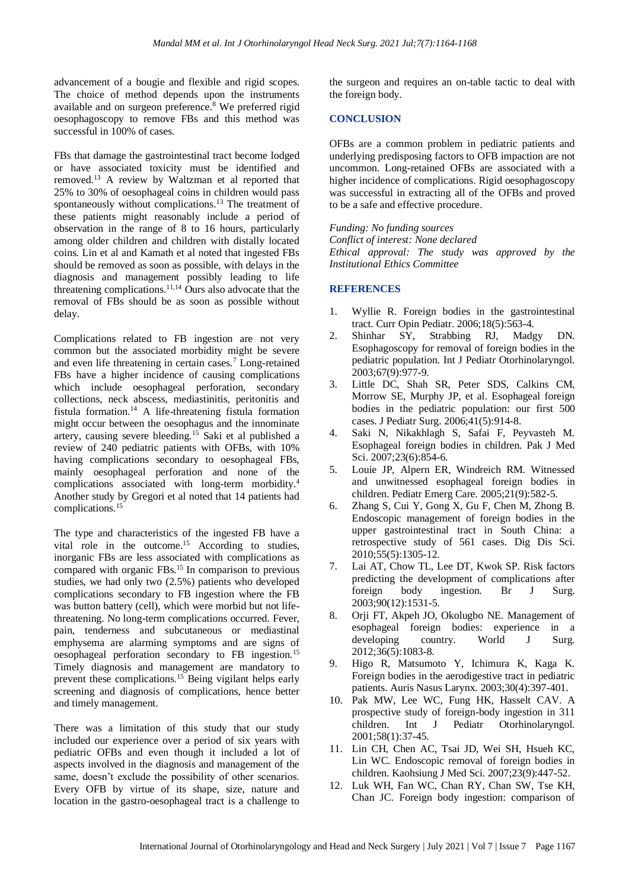advancement of a bougie and flexible and rigid scopes. The choice of method depends upon the instruments available and on surgeon preference.<sup>8</sup> We preferred rigid oesophagoscopy to remove FBs and this method was successful in 100% of cases.

FBs that damage the gastrointestinal tract become lodged or have associated toxicity must be identified and removed.<sup>13</sup> A review by Waltzman et al reported that 25% to 30% of oesophageal coins in children would pass spontaneously without complications.<sup>13</sup> The treatment of these patients might reasonably include a period of observation in the range of 8 to 16 hours, particularly among older children and children with distally located coins. Lin et al and Kamath et al noted that ingested FBs should be removed as soon as possible, with delays in the diagnosis and management possibly leading to life threatening complications.<sup>11,14</sup> Ours also advocate that the removal of FBs should be as soon as possible without delay.

Complications related to FB ingestion are not very common but the associated morbidity might be severe and even life threatening in certain cases.<sup>7</sup> Long-retained FBs have a higher incidence of causing complications which include oesophageal perforation, secondary collections, neck abscess, mediastinitis, peritonitis and fistula formation.<sup>14</sup> A life-threatening fistula formation might occur between the oesophagus and the innominate artery, causing severe bleeding.<sup>15</sup> Saki et al published a review of 240 pediatric patients with OFBs, with 10% having complications secondary to oesophageal FBs, mainly oesophageal perforation and none of the complications associated with long-term morbidity.<sup>4</sup> Another study by Gregori et al noted that 14 patients had complications.<sup>15</sup>

The type and characteristics of the ingested FB have a vital role in the outcome.<sup>15</sup> According to studies, inorganic FBs are less associated with complications as compared with organic FBs.<sup>15</sup> In comparison to previous studies, we had only two (2.5%) patients who developed complications secondary to FB ingestion where the FB was button battery (cell), which were morbid but not lifethreatening. No long-term complications occurred. Fever, pain, tenderness and subcutaneous or mediastinal emphysema are alarming symptoms and are signs of oesophageal perforation secondary to FB ingestion.<sup>15</sup> Timely diagnosis and management are mandatory to prevent these complications.<sup>15</sup> Being vigilant helps early screening and diagnosis of complications, hence better and timely management.

There was a limitation of this study that our study included our experience over a period of six years with pediatric OFBs and even though it included a lot of aspects involved in the diagnosis and management of the same, doesn't exclude the possibility of other scenarios. Every OFB by virtue of its shape, size, nature and location in the gastro-oesophageal tract is a challenge to the surgeon and requires an on-table tactic to deal with the foreign body.

#### **CONCLUSION**

OFBs are a common problem in pediatric patients and underlying predisposing factors to OFB impaction are not uncommon. Long-retained OFBs are associated with a higher incidence of complications. Rigid oesophagoscopy was successful in extracting all of the OFBs and proved to be a safe and effective procedure.

*Funding: No funding sources Conflict of interest: None declared Ethical approval: The study was approved by the Institutional Ethics Committee*

#### **REFERENCES**

- 1. Wyllie R. Foreign bodies in the gastrointestinal tract. Curr Opin Pediatr. 2006;18(5):563-4.
- 2. Shinhar SY, Strabbing RJ, Madgy DN. Esophagoscopy for removal of foreign bodies in the pediatric population. Int J Pediatr Otorhinolaryngol. 2003;67(9):977-9.
- 3. Little DC, Shah SR, Peter SDS, Calkins CM, Morrow SE, Murphy JP, et al. Esophageal foreign bodies in the pediatric population: our first 500 cases. J Pediatr Surg. 2006;41(5):914-8.
- 4. Saki N, Nikakhlagh S, Safai F, Peyvasteh M. Esophageal foreign bodies in children. Pak J Med Sci. 2007;23(6):854-6.
- 5. Louie JP, Alpern ER, Windreich RM. Witnessed and unwitnessed esophageal foreign bodies in children. Pediatr Emerg Care. 2005;21(9):582-5.
- 6. Zhang S, Cui Y, Gong X, Gu F, Chen M, Zhong B. Endoscopic management of foreign bodies in the upper gastrointestinal tract in South China: a retrospective study of 561 cases. Dig Dis Sci. 2010;55(5):1305-12.
- 7. Lai AT, Chow TL, Lee DT, Kwok SP. Risk factors predicting the development of complications after foreign body ingestion. Br J Surg. 2003;90(12):1531-5.
- 8. Orji FT, Akpeh JO, Okolugbo NE. Management of esophageal foreign bodies: experience in a developing country. World J Surg. 2012;36(5):1083-8.
- 9. Higo R, Matsumoto Y, Ichimura K, Kaga K. Foreign bodies in the aerodigestive tract in pediatric patients. Auris Nasus Larynx. 2003;30(4):397-401.
- 10. Pak MW, Lee WC, Fung HK, Hasselt CAV. A prospective study of foreign-body ingestion in 311 children. Int J Pediatr Otorhinolaryngol. 2001;58(1):37-45.
- 11. Lin CH, Chen AC, Tsai JD, Wei SH, Hsueh KC, Lin WC. Endoscopic removal of foreign bodies in children. Kaohsiung J Med Sci. 2007;23(9):447-52.
- 12. Luk WH, Fan WC, Chan RY, Chan SW, Tse KH, Chan JC. Foreign body ingestion: comparison of